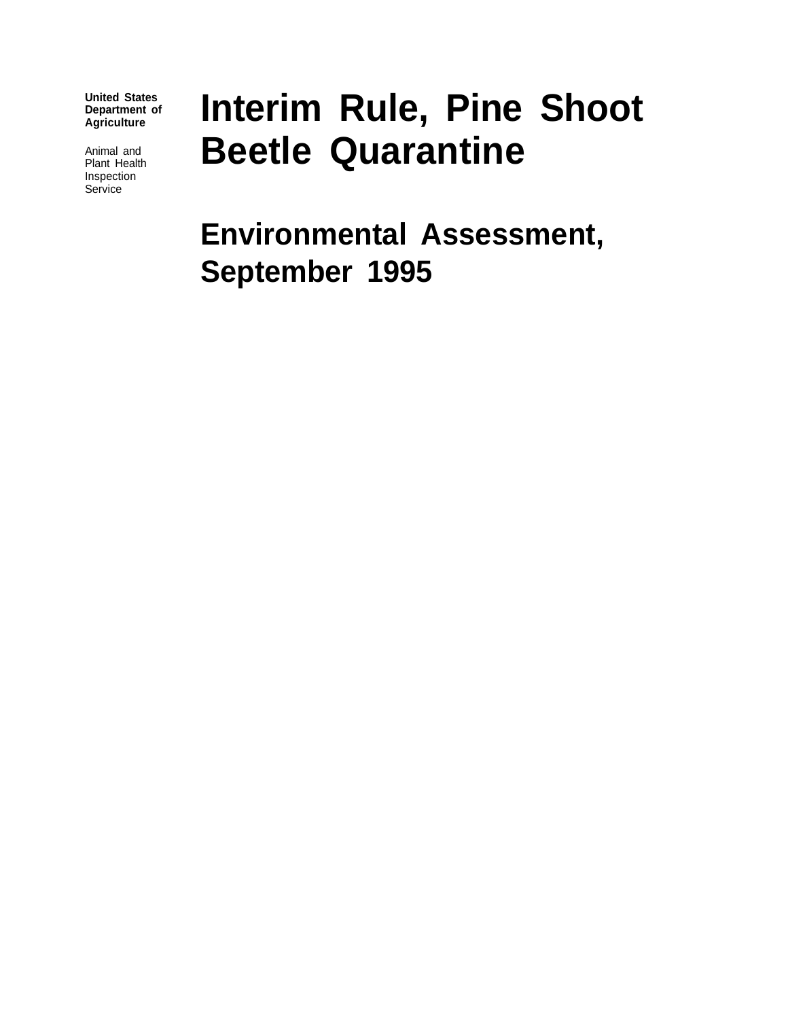**United States Department of Agriculture**

Animal and Plant Health Inspection **Service** 

# **Interim Rule, Pine Shoot Beetle Quarantine**

**Environmental Assessment, September 1995**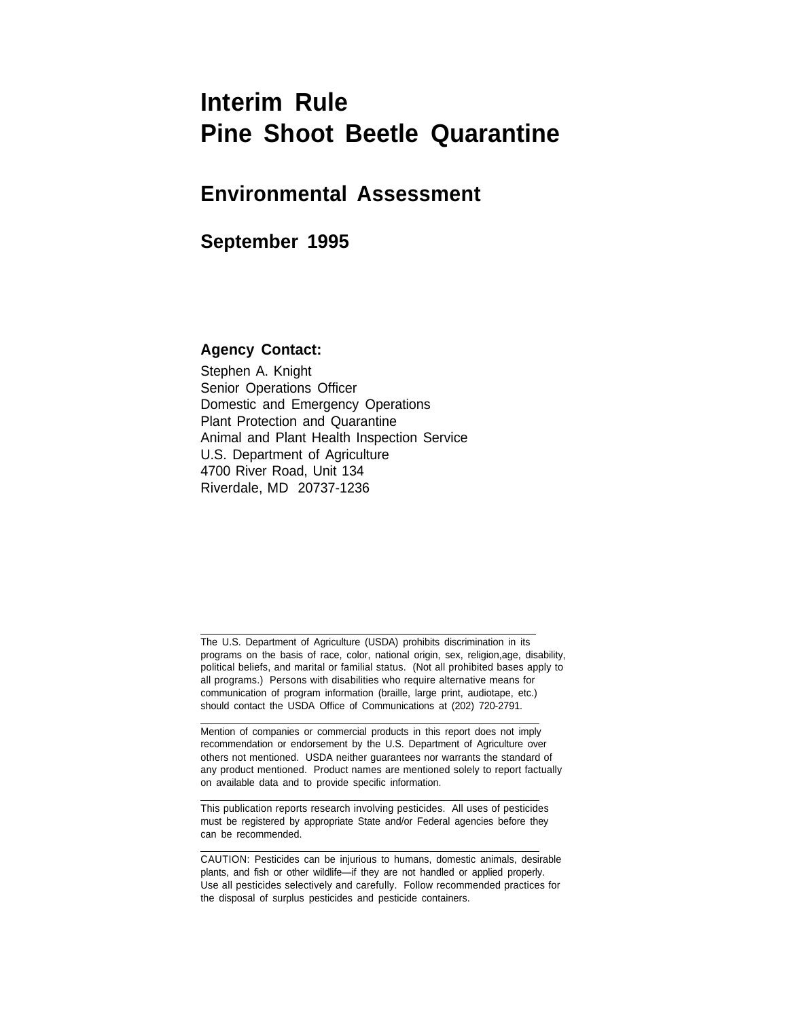# **Interim Rule Pine Shoot Beetle Quarantine**

### **Environmental Assessment**

### **September 1995**

#### **Agency Contact:**

 $\overline{a}$ 

 $\overline{\phantom{a}}$ 

 $\overline{a}$ 

 $\overline{a}$ 

Stephen A. Knight Senior Operations Officer Domestic and Emergency Operations Plant Protection and Quarantine Animal and Plant Health Inspection Service U.S. Department of Agriculture 4700 River Road, Unit 134 Riverdale, MD 20737-1236

The U.S. Department of Agriculture (USDA) prohibits discrimination in its programs on the basis of race, color, national origin, sex, religion,age, disability, political beliefs, and marital or familial status. (Not all prohibited bases apply to all programs.) Persons with disabilities who require alternative means for communication of program information (braille, large print, audiotape, etc.) should contact the USDA Office of Communications at (202) 720-2791.

Mention of companies or commercial products in this report does not imply recommendation or endorsement by the U.S. Department of Agriculture over others not mentioned. USDA neither guarantees nor warrants the standard of any product mentioned. Product names are mentioned solely to report factually on available data and to provide specific information.

This publication reports research involving pesticides. All uses of pesticides must be registered by appropriate State and/or Federal agencies before they can be recommended.

CAUTION: Pesticides can be injurious to humans, domestic animals, desirable plants, and fish or other wildlife—if they are not handled or applied properly. Use all pesticides selectively and carefully. Follow recommended practices for the disposal of surplus pesticides and pesticide containers.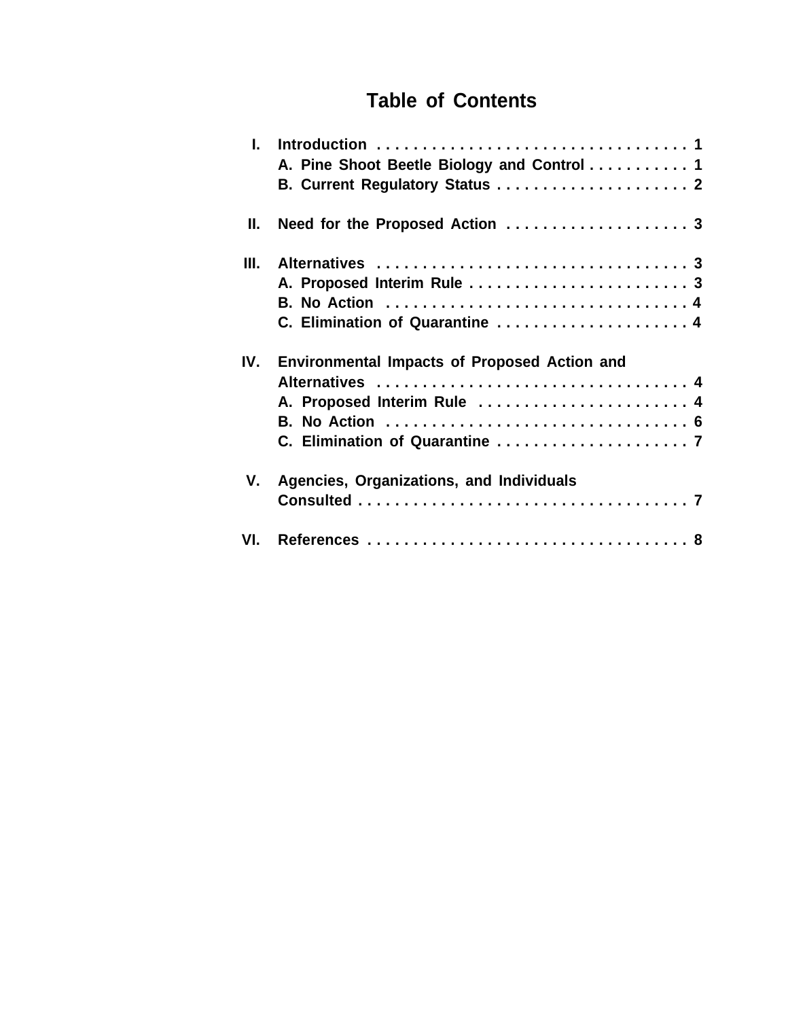### **Table of Contents**

| $\mathbf{L}$ | A. Pine Shoot Beetle Biology and Control 1<br>B. Current Regulatory Status  2 |
|--------------|-------------------------------------------------------------------------------|
| Н.           | Need for the Proposed Action  3                                               |
| Ш.           |                                                                               |
|              |                                                                               |
|              | A. Proposed Interim Rule  3                                                   |
|              | B. No Action  4                                                               |
|              | C. Elimination of Quarantine  4                                               |
| IV.          | <b>Environmental Impacts of Proposed Action and</b>                           |
|              | Alternatives  4                                                               |
|              | A. Proposed Interim Rule  4                                                   |
|              |                                                                               |
|              |                                                                               |
| V.           | Agencies, Organizations, and Individuals                                      |
|              |                                                                               |
| VL.          |                                                                               |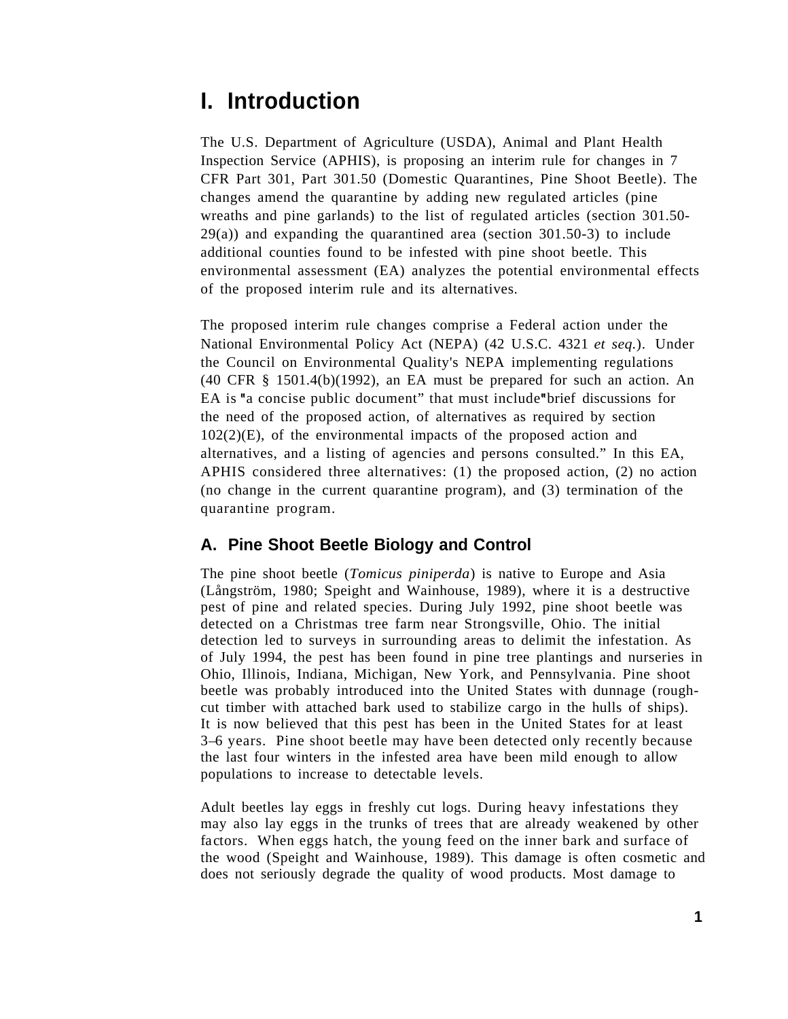### **I. Introduction**

The U.S. Department of Agriculture (USDA), Animal and Plant Health Inspection Service (APHIS), is proposing an interim rule for changes in 7 CFR Part 301, Part 301.50 (Domestic Quarantines, Pine Shoot Beetle). The changes amend the quarantine by adding new regulated articles (pine wreaths and pine garlands) to the list of regulated articles (section 301.50- 29(a)) and expanding the quarantined area (section 301.50-3) to include additional counties found to be infested with pine shoot beetle. This environmental assessment (EA) analyzes the potential environmental effects of the proposed interim rule and its alternatives.

The proposed interim rule changes comprise a Federal action under the National Environmental Policy Act (NEPA) (42 U.S.C. 4321 *et seq.*). Under the Council on Environmental Quality's NEPA implementing regulations (40 CFR § 1501.4(b)(1992), an EA must be prepared for such an action. An EA is "a concise public document" that must include "brief discussions for the need of the proposed action, of alternatives as required by section  $102(2)(E)$ , of the environmental impacts of the proposed action and alternatives, and a listing of agencies and persons consulted." In this EA, APHIS considered three alternatives: (1) the proposed action, (2) no action (no change in the current quarantine program), and (3) termination of the quarantine program.

### **A. Pine Shoot Beetle Biology and Control**

The pine shoot beetle (*Tomicus piniperda*) is native to Europe and Asia (Långström, 1980; Speight and Wainhouse, 1989), where it is a destructive pest of pine and related species. During July 1992, pine shoot beetle was detected on a Christmas tree farm near Strongsville, Ohio. The initial detection led to surveys in surrounding areas to delimit the infestation. As of July 1994, the pest has been found in pine tree plantings and nurseries in Ohio, Illinois, Indiana, Michigan, New York, and Pennsylvania. Pine shoot beetle was probably introduced into the United States with dunnage (roughcut timber with attached bark used to stabilize cargo in the hulls of ships). It is now believed that this pest has been in the United States for at least 3–6 years. Pine shoot beetle may have been detected only recently because the last four winters in the infested area have been mild enough to allow populations to increase to detectable levels.

Adult beetles lay eggs in freshly cut logs. During heavy infestations they may also lay eggs in the trunks of trees that are already weakened by other factors. When eggs hatch, the young feed on the inner bark and surface of the wood (Speight and Wainhouse, 1989). This damage is often cosmetic and does not seriously degrade the quality of wood products. Most damage to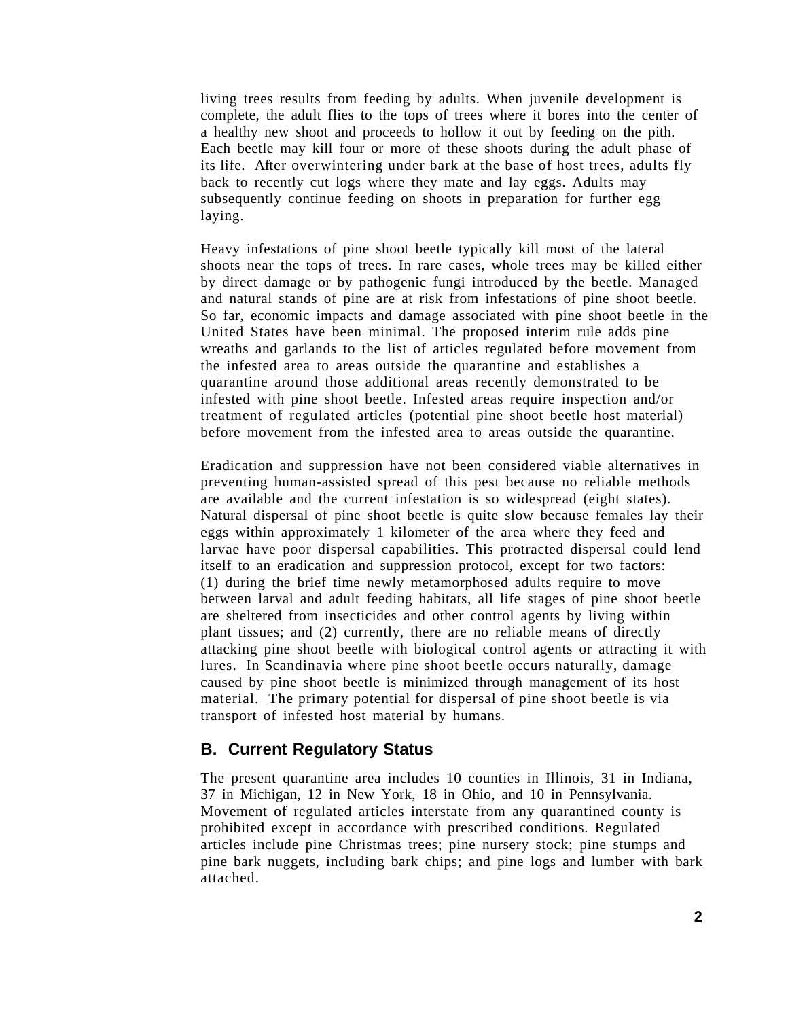living trees results from feeding by adults. When juvenile development is complete, the adult flies to the tops of trees where it bores into the center of a healthy new shoot and proceeds to hollow it out by feeding on the pith. Each beetle may kill four or more of these shoots during the adult phase of its life. After overwintering under bark at the base of host trees, adults fly back to recently cut logs where they mate and lay eggs. Adults may subsequently continue feeding on shoots in preparation for further egg laying.

Heavy infestations of pine shoot beetle typically kill most of the lateral shoots near the tops of trees. In rare cases, whole trees may be killed either by direct damage or by pathogenic fungi introduced by the beetle. Managed and natural stands of pine are at risk from infestations of pine shoot beetle. So far, economic impacts and damage associated with pine shoot beetle in the United States have been minimal. The proposed interim rule adds pine wreaths and garlands to the list of articles regulated before movement from the infested area to areas outside the quarantine and establishes a quarantine around those additional areas recently demonstrated to be infested with pine shoot beetle. Infested areas require inspection and/or treatment of regulated articles (potential pine shoot beetle host material) before movement from the infested area to areas outside the quarantine.

Eradication and suppression have not been considered viable alternatives in preventing human-assisted spread of this pest because no reliable methods are available and the current infestation is so widespread (eight states). Natural dispersal of pine shoot beetle is quite slow because females lay their eggs within approximately 1 kilometer of the area where they feed and larvae have poor dispersal capabilities. This protracted dispersal could lend itself to an eradication and suppression protocol, except for two factors: (1) during the brief time newly metamorphosed adults require to move between larval and adult feeding habitats, all life stages of pine shoot beetle are sheltered from insecticides and other control agents by living within plant tissues; and (2) currently, there are no reliable means of directly attacking pine shoot beetle with biological control agents or attracting it with lures. In Scandinavia where pine shoot beetle occurs naturally, damage caused by pine shoot beetle is minimized through management of its host material. The primary potential for dispersal of pine shoot beetle is via transport of infested host material by humans.

#### **B. Current Regulatory Status**

The present quarantine area includes 10 counties in Illinois, 31 in Indiana, 37 in Michigan, 12 in New York, 18 in Ohio, and 10 in Pennsylvania. Movement of regulated articles interstate from any quarantined county is prohibited except in accordance with prescribed conditions. Regulated articles include pine Christmas trees; pine nursery stock; pine stumps and pine bark nuggets, including bark chips; and pine logs and lumber with bark attached.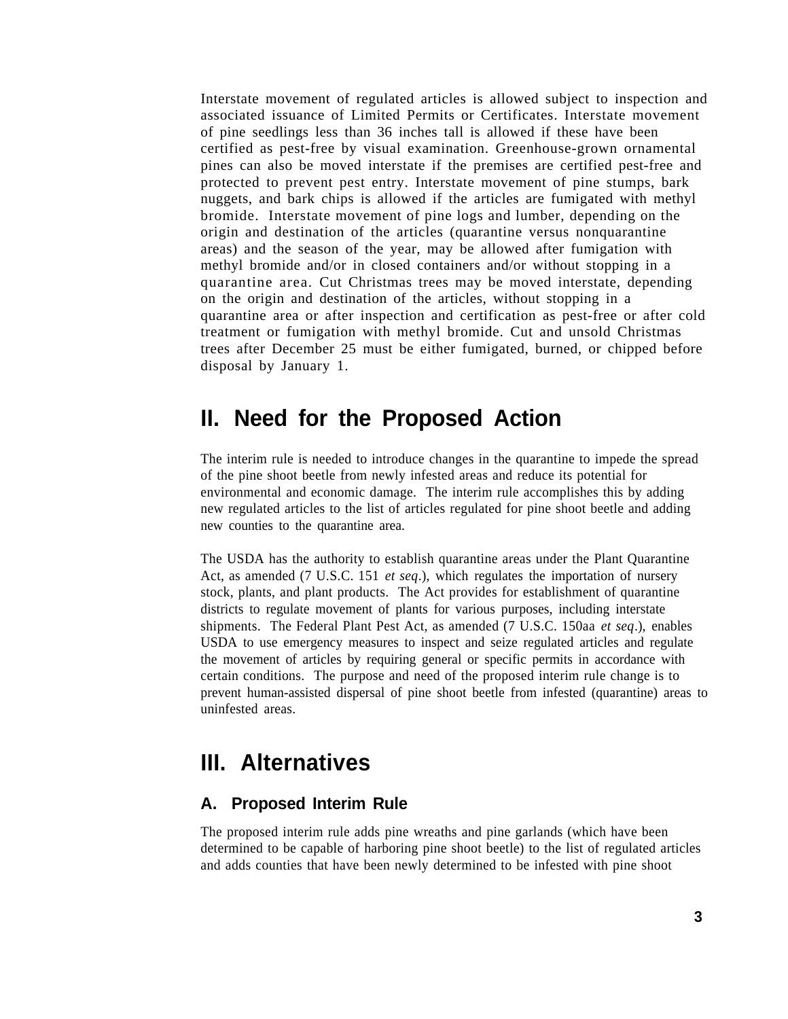Interstate movement of regulated articles is allowed subject to inspection and associated issuance of Limited Permits or Certificates. Interstate movement of pine seedlings less than 36 inches tall is allowed if these have been certified as pest-free by visual examination. Greenhouse-grown ornamental pines can also be moved interstate if the premises are certified pest-free and protected to prevent pest entry. Interstate movement of pine stumps, bark nuggets, and bark chips is allowed if the articles are fumigated with methyl bromide. Interstate movement of pine logs and lumber, depending on the origin and destination of the articles (quarantine versus nonquarantine areas) and the season of the year, may be allowed after fumigation with methyl bromide and/or in closed containers and/or without stopping in a quarantine area. Cut Christmas trees may be moved interstate, depending on the origin and destination of the articles, without stopping in a quarantine area or after inspection and certification as pest-free or after cold treatment or fumigation with methyl bromide. Cut and unsold Christmas trees after December 25 must be either fumigated, burned, or chipped before disposal by January 1.

### **II. Need for the Proposed Action**

The interim rule is needed to introduce changes in the quarantine to impede the spread of the pine shoot beetle from newly infested areas and reduce its potential for environmental and economic damage. The interim rule accomplishes this by adding new regulated articles to the list of articles regulated for pine shoot beetle and adding new counties to the quarantine area.

The USDA has the authority to establish quarantine areas under the Plant Quarantine Act, as amended (7 U.S.C. 151 *et seq*.), which regulates the importation of nursery stock, plants, and plant products. The Act provides for establishment of quarantine districts to regulate movement of plants for various purposes, including interstate shipments. The Federal Plant Pest Act, as amended (7 U.S.C. 150aa *et seq*.), enables USDA to use emergency measures to inspect and seize regulated articles and regulate the movement of articles by requiring general or specific permits in accordance with certain conditions. The purpose and need of the proposed interim rule change is to prevent human-assisted dispersal of pine shoot beetle from infested (quarantine) areas to uninfested areas.

### **III. Alternatives**

### **A. Proposed Interim Rule**

The proposed interim rule adds pine wreaths and pine garlands (which have been determined to be capable of harboring pine shoot beetle) to the list of regulated articles and adds counties that have been newly determined to be infested with pine shoot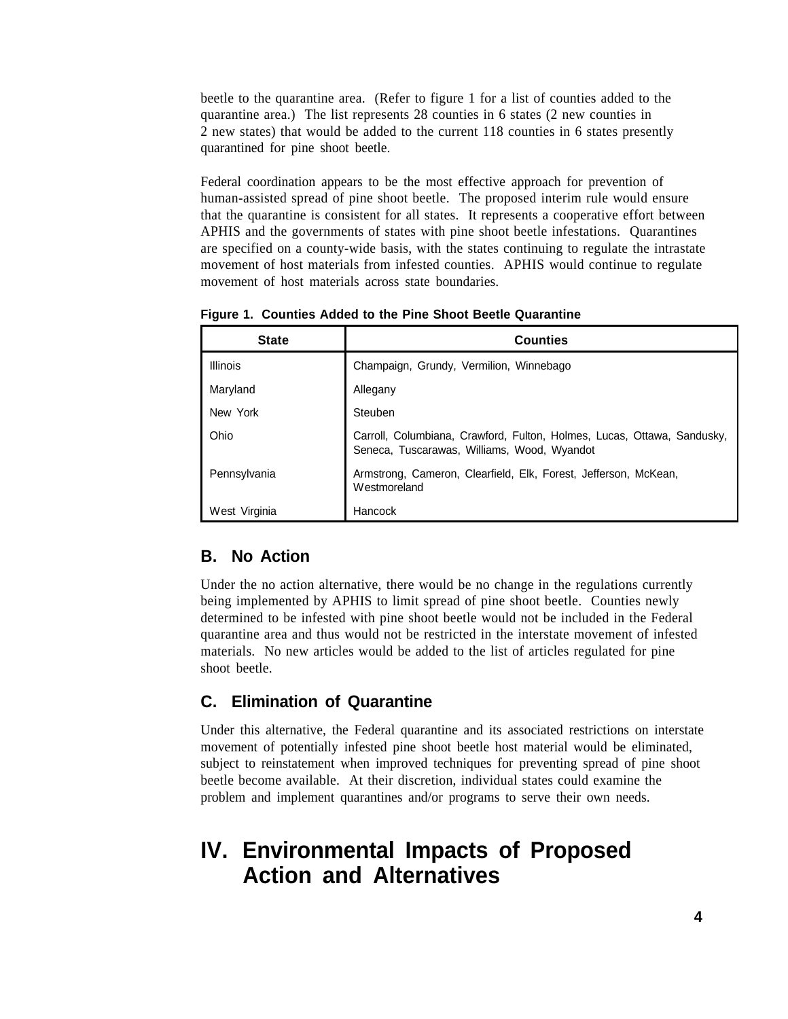beetle to the quarantine area. (Refer to figure 1 for a list of counties added to the quarantine area.) The list represents 28 counties in 6 states (2 new counties in 2 new states) that would be added to the current 118 counties in 6 states presently quarantined for pine shoot beetle.

Federal coordination appears to be the most effective approach for prevention of human-assisted spread of pine shoot beetle. The proposed interim rule would ensure that the quarantine is consistent for all states. It represents a cooperative effort between APHIS and the governments of states with pine shoot beetle infestations. Quarantines are specified on a county-wide basis, with the states continuing to regulate the intrastate movement of host materials from infested counties. APHIS would continue to regulate movement of host materials across state boundaries.

**Figure 1. Counties Added to the Pine Shoot Beetle Quarantine**

| <b>State</b>    | <b>Counties</b>                                                                                                        |
|-----------------|------------------------------------------------------------------------------------------------------------------------|
| <b>Illinois</b> | Champaign, Grundy, Vermilion, Winnebago                                                                                |
| Maryland        | Allegany                                                                                                               |
| New York        | Steuben                                                                                                                |
| Ohio            | Carroll, Columbiana, Crawford, Fulton, Holmes, Lucas, Ottawa, Sandusky,<br>Seneca, Tuscarawas, Williams, Wood, Wyandot |
| Pennsylvania    | Armstrong, Cameron, Clearfield, Elk, Forest, Jefferson, McKean,<br>Westmoreland                                        |
| West Virginia   | Hancock                                                                                                                |

#### **B. No Action**

Under the no action alternative, there would be no change in the regulations currently being implemented by APHIS to limit spread of pine shoot beetle. Counties newly determined to be infested with pine shoot beetle would not be included in the Federal quarantine area and thus would not be restricted in the interstate movement of infested materials. No new articles would be added to the list of articles regulated for pine shoot beetle.

### **C. Elimination of Quarantine**

Under this alternative, the Federal quarantine and its associated restrictions on interstate movement of potentially infested pine shoot beetle host material would be eliminated, subject to reinstatement when improved techniques for preventing spread of pine shoot beetle become available. At their discretion, individual states could examine the problem and implement quarantines and/or programs to serve their own needs.

## **IV. Environmental Impacts of Proposed Action and Alternatives**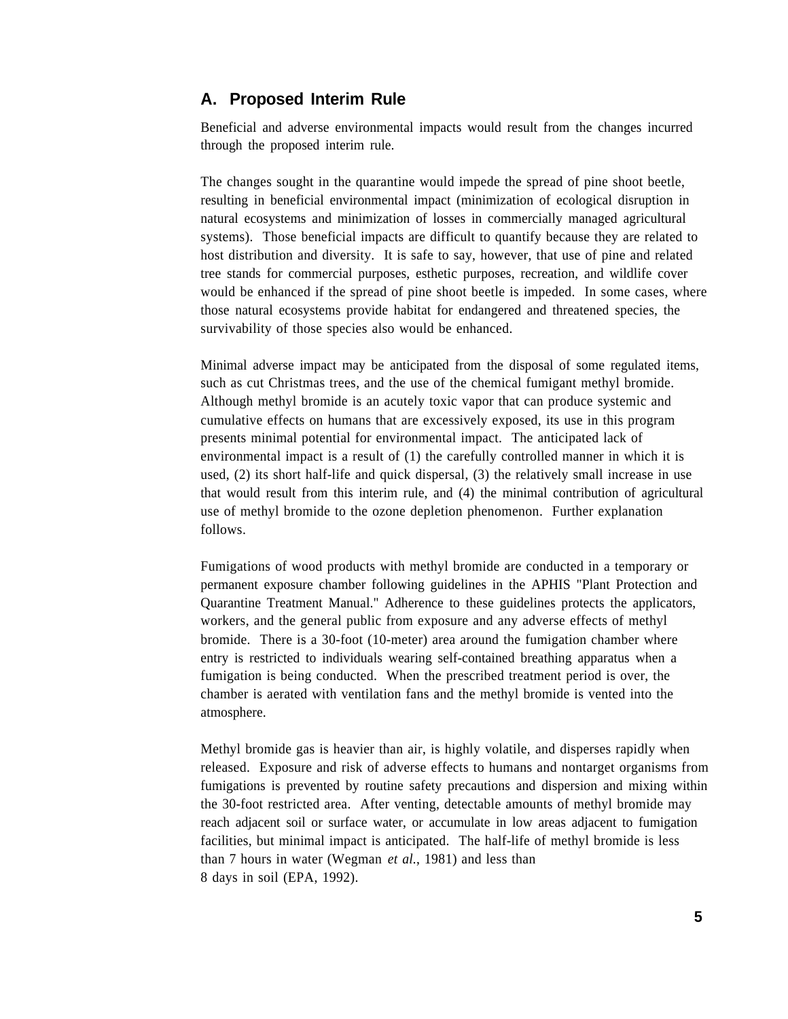#### **A. Proposed Interim Rule**

Beneficial and adverse environmental impacts would result from the changes incurred through the proposed interim rule.

The changes sought in the quarantine would impede the spread of pine shoot beetle, resulting in beneficial environmental impact (minimization of ecological disruption in natural ecosystems and minimization of losses in commercially managed agricultural systems). Those beneficial impacts are difficult to quantify because they are related to host distribution and diversity. It is safe to say, however, that use of pine and related tree stands for commercial purposes, esthetic purposes, recreation, and wildlife cover would be enhanced if the spread of pine shoot beetle is impeded. In some cases, where those natural ecosystems provide habitat for endangered and threatened species, the survivability of those species also would be enhanced.

Minimal adverse impact may be anticipated from the disposal of some regulated items, such as cut Christmas trees, and the use of the chemical fumigant methyl bromide. Although methyl bromide is an acutely toxic vapor that can produce systemic and cumulative effects on humans that are excessively exposed, its use in this program presents minimal potential for environmental impact. The anticipated lack of environmental impact is a result of (1) the carefully controlled manner in which it is used, (2) its short half-life and quick dispersal, (3) the relatively small increase in use that would result from this interim rule, and (4) the minimal contribution of agricultural use of methyl bromide to the ozone depletion phenomenon. Further explanation follows.

Fumigations of wood products with methyl bromide are conducted in a temporary or permanent exposure chamber following guidelines in the APHIS "Plant Protection and Quarantine Treatment Manual." Adherence to these guidelines protects the applicators, workers, and the general public from exposure and any adverse effects of methyl bromide. There is a 30-foot (10-meter) area around the fumigation chamber where entry is restricted to individuals wearing self-contained breathing apparatus when a fumigation is being conducted. When the prescribed treatment period is over, the chamber is aerated with ventilation fans and the methyl bromide is vented into the atmosphere.

Methyl bromide gas is heavier than air, is highly volatile, and disperses rapidly when released. Exposure and risk of adverse effects to humans and nontarget organisms from fumigations is prevented by routine safety precautions and dispersion and mixing within the 30-foot restricted area. After venting, detectable amounts of methyl bromide may reach adjacent soil or surface water, or accumulate in low areas adjacent to fumigation facilities, but minimal impact is anticipated. The half-life of methyl bromide is less than 7 hours in water (Wegman *et al.*, 1981) and less than 8 days in soil (EPA, 1992).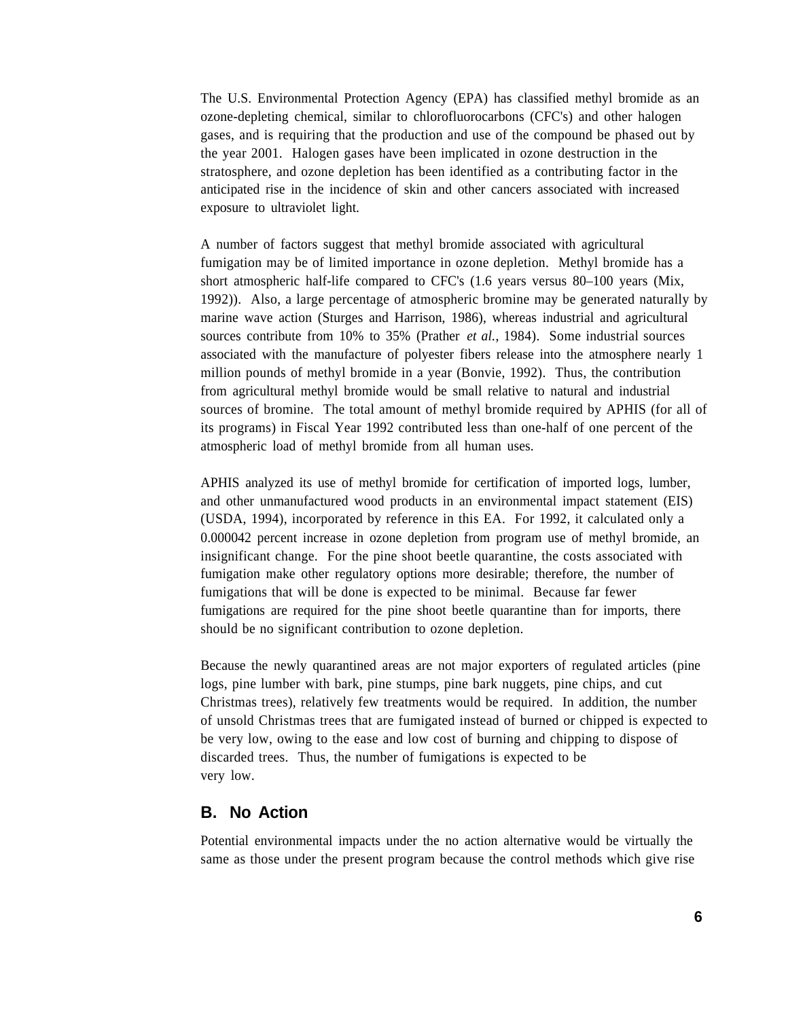The U.S. Environmental Protection Agency (EPA) has classified methyl bromide as an ozone-depleting chemical, similar to chlorofluorocarbons (CFC's) and other halogen gases, and is requiring that the production and use of the compound be phased out by the year 2001. Halogen gases have been implicated in ozone destruction in the stratosphere, and ozone depletion has been identified as a contributing factor in the anticipated rise in the incidence of skin and other cancers associated with increased exposure to ultraviolet light.

A number of factors suggest that methyl bromide associated with agricultural fumigation may be of limited importance in ozone depletion. Methyl bromide has a short atmospheric half-life compared to CFC's (1.6 years versus 80–100 years (Mix, 1992)). Also, a large percentage of atmospheric bromine may be generated naturally by marine wave action (Sturges and Harrison, 1986), whereas industrial and agricultural sources contribute from 10% to 35% (Prather *et al.*, 1984). Some industrial sources associated with the manufacture of polyester fibers release into the atmosphere nearly 1 million pounds of methyl bromide in a year (Bonvie, 1992). Thus, the contribution from agricultural methyl bromide would be small relative to natural and industrial sources of bromine. The total amount of methyl bromide required by APHIS (for all of its programs) in Fiscal Year 1992 contributed less than one-half of one percent of the atmospheric load of methyl bromide from all human uses.

APHIS analyzed its use of methyl bromide for certification of imported logs, lumber, and other unmanufactured wood products in an environmental impact statement (EIS) (USDA, 1994), incorporated by reference in this EA. For 1992, it calculated only a 0.000042 percent increase in ozone depletion from program use of methyl bromide, an insignificant change. For the pine shoot beetle quarantine, the costs associated with fumigation make other regulatory options more desirable; therefore, the number of fumigations that will be done is expected to be minimal. Because far fewer fumigations are required for the pine shoot beetle quarantine than for imports, there should be no significant contribution to ozone depletion.

Because the newly quarantined areas are not major exporters of regulated articles (pine logs, pine lumber with bark, pine stumps, pine bark nuggets, pine chips, and cut Christmas trees), relatively few treatments would be required. In addition, the number of unsold Christmas trees that are fumigated instead of burned or chipped is expected to be very low, owing to the ease and low cost of burning and chipping to dispose of discarded trees. Thus, the number of fumigations is expected to be very low.

#### **B. No Action**

Potential environmental impacts under the no action alternative would be virtually the same as those under the present program because the control methods which give rise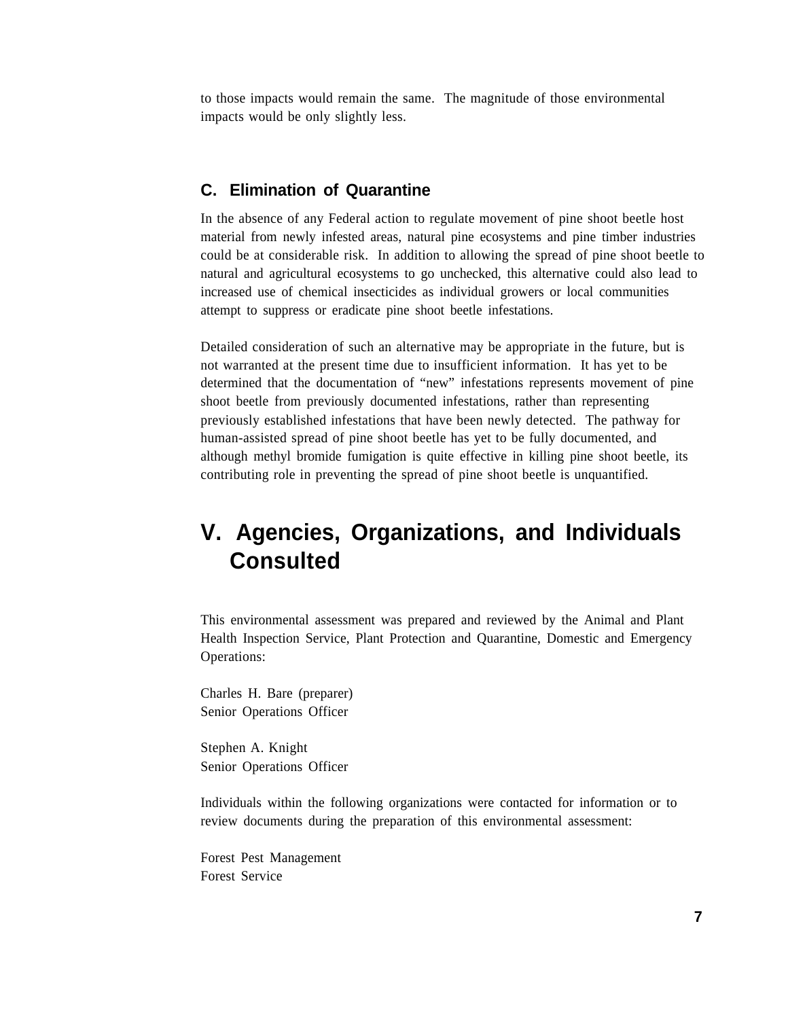to those impacts would remain the same. The magnitude of those environmental impacts would be only slightly less.

#### **C. Elimination of Quarantine**

In the absence of any Federal action to regulate movement of pine shoot beetle host material from newly infested areas, natural pine ecosystems and pine timber industries could be at considerable risk. In addition to allowing the spread of pine shoot beetle to natural and agricultural ecosystems to go unchecked, this alternative could also lead to increased use of chemical insecticides as individual growers or local communities attempt to suppress or eradicate pine shoot beetle infestations.

Detailed consideration of such an alternative may be appropriate in the future, but is not warranted at the present time due to insufficient information. It has yet to be determined that the documentation of "new" infestations represents movement of pine shoot beetle from previously documented infestations, rather than representing previously established infestations that have been newly detected. The pathway for human-assisted spread of pine shoot beetle has yet to be fully documented, and although methyl bromide fumigation is quite effective in killing pine shoot beetle, its contributing role in preventing the spread of pine shoot beetle is unquantified.

# **V. Agencies, Organizations, and Individuals Consulted**

This environmental assessment was prepared and reviewed by the Animal and Plant Health Inspection Service, Plant Protection and Quarantine, Domestic and Emergency Operations:

Charles H. Bare (preparer) Senior Operations Officer

Stephen A. Knight Senior Operations Officer

Individuals within the following organizations were contacted for information or to review documents during the preparation of this environmental assessment:

Forest Pest Management Forest Service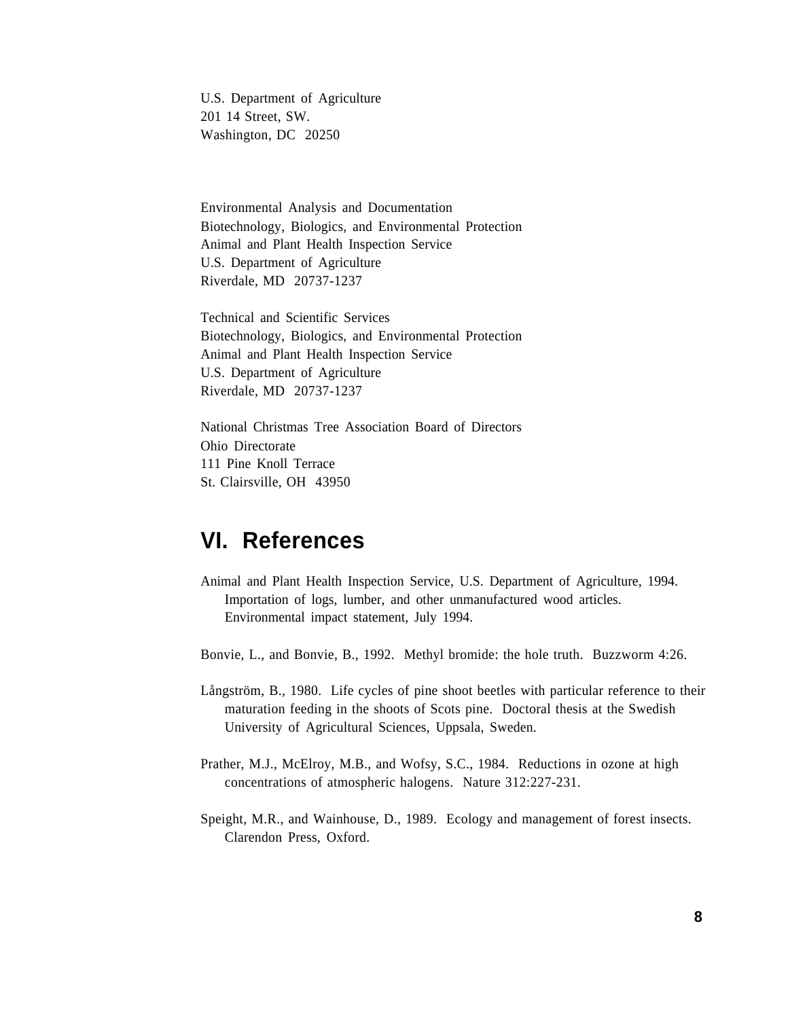U.S. Department of Agriculture 201 14 Street, SW. Washington, DC 20250

Environmental Analysis and Documentation Biotechnology, Biologics, and Environmental Protection Animal and Plant Health Inspection Service U.S. Department of Agriculture Riverdale, MD 20737-1237

Technical and Scientific Services Biotechnology, Biologics, and Environmental Protection Animal and Plant Health Inspection Service U.S. Department of Agriculture Riverdale, MD 20737-1237

National Christmas Tree Association Board of Directors Ohio Directorate 111 Pine Knoll Terrace St. Clairsville, OH 43950

### **VI. References**

Animal and Plant Health Inspection Service, U.S. Department of Agriculture, 1994. Importation of logs, lumber, and other unmanufactured wood articles. Environmental impact statement, July 1994.

Bonvie, L., and Bonvie, B., 1992. Methyl bromide: the hole truth. Buzzworm 4:26.

- Långström, B., 1980. Life cycles of pine shoot beetles with particular reference to their maturation feeding in the shoots of Scots pine. Doctoral thesis at the Swedish University of Agricultural Sciences, Uppsala, Sweden.
- Prather, M.J., McElroy, M.B., and Wofsy, S.C., 1984. Reductions in ozone at high concentrations of atmospheric halogens. Nature 312:227-231.
- Speight, M.R., and Wainhouse, D., 1989. Ecology and management of forest insects. Clarendon Press, Oxford.